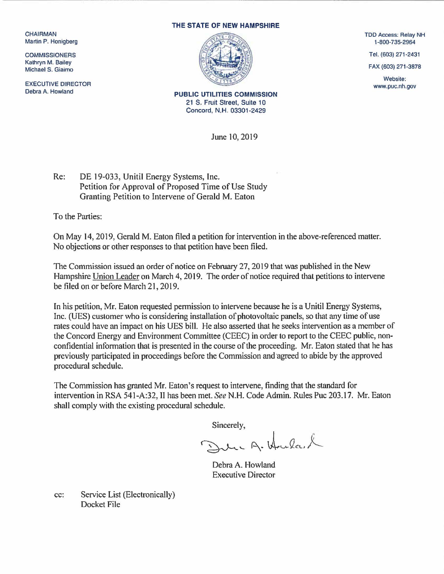**CHAIRMAN** Martin P. Honigberg

**COMMISSIONERS** Kalhryn M. Bailey Michael S. Giaimo

EXECUTIVE DIRECTOR Debra A. Howland

## THE STATE OF NEW HAMPSHIRE



PUBLIC UTILITIES COMMISSION 21 S. Fruit Street, Suite 10 Concord, N.H. 03301-2429

June 10, 2019

TDD Access: Relay NH 1-800-735-2964

Tel. (603) 271-2431

FAX (603) 271-3878

Website: www.puc.nh.gov

Re: DE 19-033, Unitil Energy Systems, Inc. Petition for Approval of Proposed Time of Use Study Granting Petition to Intervene of Gerald M. Eaton

To the Parties:

On May 14, 2019, Gerald M. Eaton filed a petition for intervention in the above-referenced matter. No objections or other responses to that petition have been filed.

The Commission issued an order of notice on February 27, 2019 that was published in the New Hampshire Union Leader on March 4, 2019. The order of notice required that petitions to intervene be filed on or before March 21, 2019.

In his petition, Mr. Eaton requested permission to intervene because he is a Unitil Energy Systems, Inc. (UES) customer who is considering installation of photovoltaic panels, so that any time of use rates could have an impact on his UES bill. He also asserted that he seeks intervention as a member of the Concord Energy and Environment Committee (CEEC) in order to report to the CEEC public, nonconfidential information that is presented in the course of the proceeding. Mr. Eaton stated that he has previously participated in proceedings before the Commission and agreed to abide by the approved procedural schedule.

The Commission has granted Mr. Eaton's request to intervene, finding that the standard for intervention in RSA 541-A:32, II has been met. See N.H. Code Admin. Rules Puc 203.17. Mr. Eaton shall comply with the existing procedural schedule.

Sincerely,

Delic A. Hula. L

Debra A. Howland Executive Director

cc: Service List (Electronically) Docket File